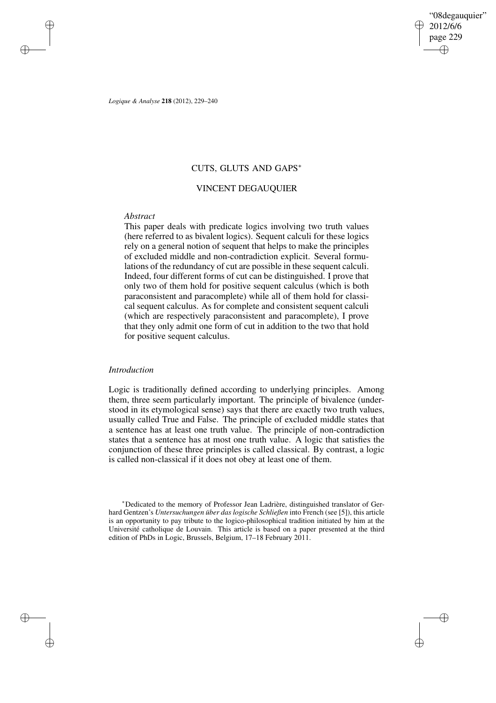"08degauquier" 2012/6/6 page 229 ✐ ✐

✐

✐

*Logique & Analyse* **218** (2012), 229–240

# CUTS, GLUTS AND GAPS<sup>∗</sup>

# VINCENT DEGAUQUIER

# *Abstract*

✐

✐

✐

✐

This paper deals with predicate logics involving two truth values (here referred to as bivalent logics). Sequent calculi for these logics rely on a general notion of sequent that helps to make the principles of excluded middle and non-contradiction explicit. Several formulations of the redundancy of cut are possible in these sequent calculi. Indeed, four different forms of cut can be distinguished. I prove that only two of them hold for positive sequent calculus (which is both paraconsistent and paracomplete) while all of them hold for classical sequent calculus. As for complete and consistent sequent calculi (which are respectively paraconsistent and paracomplete), I prove that they only admit one form of cut in addition to the two that hold for positive sequent calculus.

## *Introduction*

Logic is traditionally defined according to underlying principles. Among them, three seem particularly important. The principle of bivalence (understood in its etymological sense) says that there are exactly two truth values, usually called True and False. The principle of excluded middle states that a sentence has at least one truth value. The principle of non-contradiction states that a sentence has at most one truth value. A logic that satisfies the conjunction of these three principles is called classical. By contrast, a logic is called non-classical if it does not obey at least one of them.

<sup>∗</sup>Dedicated to the memory of Professor Jean Ladrière, distinguished translator of Gerhard Gentzen's *Untersuchungen über das logische Schließen* into French (see [5]), this article is an opportunity to pay tribute to the logico-philosophical tradition initiated by him at the Université catholique de Louvain. This article is based on a paper presented at the third edition of PhDs in Logic, Brussels, Belgium, 17–18 February 2011.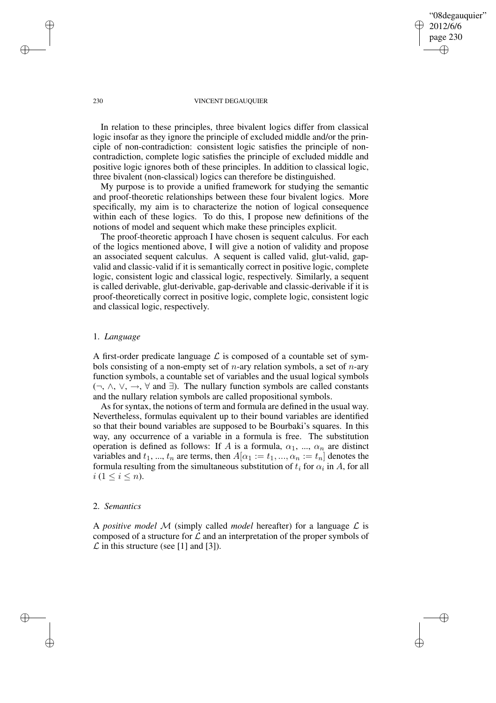## "08degauquier" 2012/6/6 page 230 ✐ ✐

✐

✐

### 230 VINCENT DEGAUQUIER

In relation to these principles, three bivalent logics differ from classical logic insofar as they ignore the principle of excluded middle and/or the principle of non-contradiction: consistent logic satisfies the principle of noncontradiction, complete logic satisfies the principle of excluded middle and positive logic ignores both of these principles. In addition to classical logic, three bivalent (non-classical) logics can therefore be distinguished.

My purpose is to provide a unified framework for studying the semantic and proof-theoretic relationships between these four bivalent logics. More specifically, my aim is to characterize the notion of logical consequence within each of these logics. To do this, I propose new definitions of the notions of model and sequent which make these principles explicit.

The proof-theoretic approach I have chosen is sequent calculus. For each of the logics mentioned above, I will give a notion of validity and propose an associated sequent calculus. A sequent is called valid, glut-valid, gapvalid and classic-valid if it is semantically correct in positive logic, complete logic, consistent logic and classical logic, respectively. Similarly, a sequent is called derivable, glut-derivable, gap-derivable and classic-derivable if it is proof-theoretically correct in positive logic, complete logic, consistent logic and classical logic, respectively.

## 1. *Language*

A first-order predicate language  $\mathcal L$  is composed of a countable set of symbols consisting of a non-empty set of *n*-ary relation symbols, a set of *n*-ary function symbols, a countable set of variables and the usual logical symbols  $(\neg, \wedge, \vee, \rightarrow, \forall \text{ and } \exists)$ . The nullary function symbols are called constants and the nullary relation symbols are called propositional symbols.

As for syntax, the notions of term and formula are defined in the usual way. Nevertheless, formulas equivalent up to their bound variables are identified so that their bound variables are supposed to be Bourbaki's squares. In this way, any occurrence of a variable in a formula is free. The substitution operation is defined as follows: If A is a formula,  $\alpha_1$ , ...,  $\alpha_n$  are distinct variables and  $t_1, ..., t_n$  are terms, then  $A[\alpha_1 := t_1, ..., \alpha_n := t_n]$  denotes the formula resulting from the simultaneous substitution of  $t_i$  for  $\alpha_i$  in  $A$ , for all  $i (1 \leq i \leq n).$ 

## 2. *Semantics*

✐

✐

A *positive model* M (simply called *model* hereafter) for a language  $\mathcal{L}$  is composed of a structure for  $\mathcal L$  and an interpretation of the proper symbols of  $\mathcal L$  in this structure (see [1] and [3]).

✐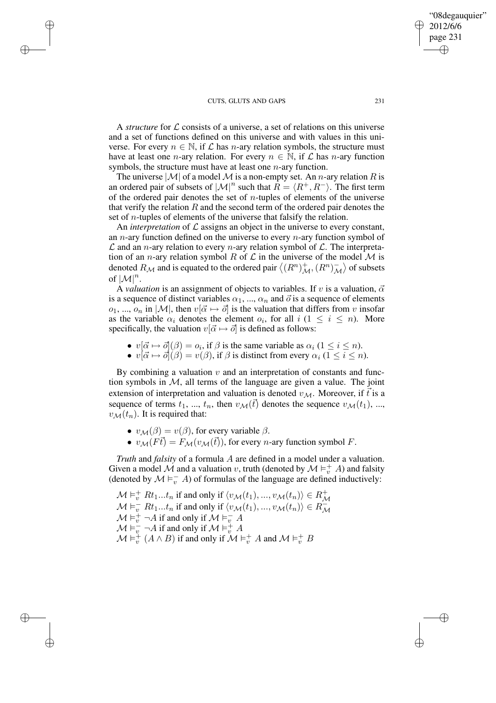✐

✐

✐

✐

A *structure* for L consists of a universe, a set of relations on this universe and a set of functions defined on this universe and with values in this universe. For every  $n \in \mathbb{N}$ , if  $\mathcal L$  has *n*-ary relation symbols, the structure must have at least one *n*-ary relation. For every  $n \in \mathbb{N}$ , if  $\mathcal L$  has *n*-ary function symbols, the structure must have at least one  $n$ -ary function.

The universe  $|M|$  of a model M is a non-empty set. An *n*-ary relation R is an ordered pair of subsets of  $|\mathcal{M}|^n$  such that  $R = \langle R^+, R^- \rangle$ . The first term of the ordered pair denotes the set of  $n$ -tuples of elements of the universe that verify the relation  $R$  and the second term of the ordered pair denotes the set of *n*-tuples of elements of the universe that falsify the relation.

An *interpretation* of  $\mathcal L$  assigns an object in the universe to every constant, an  $n$ -ary function defined on the universe to every  $n$ -ary function symbol of  $\mathcal L$  and an *n*-ary relation to every *n*-ary relation symbol of  $\mathcal L$ . The interpretation of an *n*-ary relation symbol R of  $\mathcal L$  in the universe of the model M is denoted  $R_M$  and is equated to the ordered pair  $\langle (R^n)^+_{M}, (R^n)^-_{\mathcal{N}} \rangle$  $\overline{\mathcal{M}}$  of subsets of  $|\mathcal{M}|^n$ .

A *valuation* is an assignment of objects to variables. If v is a valuation,  $\vec{\alpha}$ is a sequence of distinct variables  $\alpha_1, ..., \alpha_n$  and  $\vec{o}$  is a sequence of elements  $o_1, ..., o_n$  in  $|\mathcal{M}|$ , then  $v[\vec{\alpha} \mapsto \vec{\alpha}]$  is the valuation that differs from v insofar as the variable  $\alpha_i$  denotes the element  $o_i$ , for all  $i$  ( $1 \leq i \leq n$ ). More specifically, the valuation  $v[\vec{\alpha} \mapsto \vec{\sigma}]$  is defined as follows:

- $v[\vec{\alpha} \mapsto \vec{o}] (\beta) = o_i$ , if  $\beta$  is the same variable as  $\alpha_i$   $(1 \le i \le n)$ .
- $v[\vec{\alpha} \mapsto \vec{o}] (\beta) = v(\beta)$ , if  $\beta$  is distinct from every  $\alpha_i$  ( $1 \le i \le n$ ).

By combining a valuation  $v$  and an interpretation of constants and function symbols in  $M$ , all terms of the language are given a value. The joint extension of interpretation and valuation is denoted  $v_{\mathcal{M}}$ . Moreover, if t is a sequence of terms  $t_1, ..., t_n$ , then  $v_{\mathcal{M}}(\vec{t})$  denotes the sequence  $v_{\mathcal{M}}(t_1), ...,$  $v_{\mathcal{M}}(t_n)$ . It is required that:

- $v_{\mathcal{M}}(\beta) = v(\beta)$ , for every variable  $\beta$ .
- $v_{\mathcal{M}}(F\vec{t}) = F_{\mathcal{M}}(v_{\mathcal{M}}(\vec{t}))$ , for every *n*-ary function symbol *F*.

*Truth* and *falsity* of a formula A are defined in a model under a valuation. Given a model  $\dot{M}$  and a valuation v, truth (denoted by  $\mathcal{M} \vDash^+_v A$ ) and falsity (denoted by  $\mathcal{M} \vDash_{v}^{-} A$ ) of formulas of the language are defined inductively:

 $\mathcal{M} \vDash_{v}^{+} Rt_1...t_n$  if and only if  $\langle v_{\mathcal{M}}(t_1),..., v_{\mathcal{M}}(t_n) \rangle \in R_{\mathcal{M}}^{+}$  $\mathcal{M} \vDash_{v}^{-} R t_{1} ... t_{n}$  if and only if  $\langle v_{\mathcal{M}}(t_{1}), ..., v_{\mathcal{M}}(t_{n}) \rangle \in R_{\mathcal{M}}^{-}$ M  $\mathcal{M} \vDash_{v}^{+} \neg A$  if and only if  $\mathcal{M} \vDash_{v}^{-} A$  $\mathcal{M} \vDash_{v}^{-} \neg A$  if and only if  $\mathcal{M} \vDash_{v}^{+} A$  $\mathcal{M} \vDash_{v}^{+}(A \wedge B)$  if and only if  $\mathcal{M} \vDash_{v}^{+} A$  and  $\mathcal{M} \vDash_{v}^{+} B$ 

"08degauquier" 2012/6/6 page 231

✐

✐

✐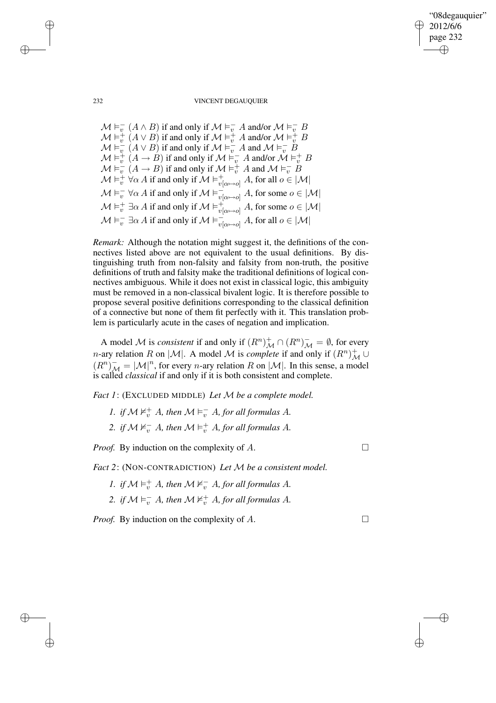"08degauquier" 2012/6/6 page 232 ✐ ✐

### 232 VINCENT DEGAUQUIER

 $\mathcal{M} \models_v^ \overline{v}_v^-(A \wedge B)$  if and only if  $\mathcal{M} \vDash_{\overline{v}}^{\rightharpoonup} A$  and/or  $\mathcal{M} \vDash_{\overline{v}}^{\rightharpoonup} B$  $\mathcal{M} \vDash_{v}^{+} (A \vee B)$  if and only if  $\mathcal{M} \vDash_{v}^{+} A$  and/or  $\mathcal{M} \vDash_{v}^{+} B$  $\mathcal{M} \vDash \stackrel{\circ}{v}$  $\overline{v}_v \ (A \lor B)$  if and only if  $\mathcal{M} \vDash \overline{v}_v A$  and  $\mathcal{M} \vDash \overline{v}_v B$  $\mathcal{M} \vDash_{v}^{\perp} (A \to B)$  if and only if  $\mathcal{M} \vDash_{v}^{-} A$  and/or  $\mathcal{M} \vDash_{v}^{+} B$  $\mathcal{M} \vDash \stackrel{\scriptscriptstyle\circ}{v}$  $\overline{v}$   $(A \rightarrow B)$  if and only if  $\mathcal{M} \vDash^+_{v} A$  and  $\mathcal{M} \vDash^-_{v} B$  $\mathcal{M} \vDash_{v}^{+} \forall \alpha A$  if and only if  $\mathcal{M} \vDash_{v[\alpha \mapsto o]}^{+} A$ , for all  $o \in |\mathcal{M}|$  $\mathcal{M} \vDash_{v}^{\text{-}} \forall \alpha A$  if and only if  $\mathcal{M} \vDash_{v[\alpha \mapsto o]}^{\text{-}} A$ , for some  $o \in |\mathcal{M}|$  $\mathcal{M} \vDash_{v}^{+} \exists \alpha A$  if and only if  $\mathcal{M} \vDash_{v[\alpha \mapsto o]}^{+} A$ , for some  $o \in |\mathcal{M}|$  $\mathcal{M} \vDash_{v}^{-} \exists \alpha A$  if and only if  $\mathcal{M} \vDash_{v[\alpha \mapsto o]}^{-} A$ , for all  $o \in |\mathcal{M}|$ 

*Remark:* Although the notation might suggest it, the definitions of the connectives listed above are not equivalent to the usual definitions. By distinguishing truth from non-falsity and falsity from non-truth, the positive definitions of truth and falsity make the traditional definitions of logical connectives ambiguous. While it does not exist in classical logic, this ambiguity must be removed in a non-classical bivalent logic. It is therefore possible to propose several positive definitions corresponding to the classical definition of a connective but none of them fit perfectly with it. This translation problem is particularly acute in the cases of negation and implication.

A model *M* is *consistent* if and only if  $(R^n)_{\mathcal{M}}^+ \cap (R^n)_{\mathcal{M}}^- = \emptyset$ , for every *n*-ary relation R on  $|M|$ . A model M is *complete* if and only if  $(R^n)_{\mathcal{M}}^+ \cup$  $(R^n)_{\mathcal{M}}^- = |\mathcal{M}|^n$ , for every *n*-ary relation R on  $|\mathcal{M}|$ . In this sense, a model is called *classical* if and only if it is both consistent and complete.

*Fact 1*: (EXCLUDED MIDDLE) *Let* M *be a complete model.*

- 1. *if*  $M \nvDash_{v}^{+} A$ *, then*  $M \vDash_{v}^{-} A$ *, for all formulas* A*.*
- 2. *if*  $M \nvDash_{v}^{-} A$ *, then*  $M \vDash_{v}^{+} A$ *, for all formulas* A*.*

*Proof.* By induction on the complexity of A.

*Fact 2*: (NON-CONTRADICTION) *Let* M *be a consistent model.*

- *1. if*  $\mathcal{M} \models_v^+ A$ *, then*  $\mathcal{M} \not\models_v^- A$ *, for all formulas A.*
- 2. *if*  $\mathcal{M} \models_{v}^{-} A$ *, then*  $\mathcal{M} \not\models_{v}^{+} A$ *, for all formulas* A*.*

*Proof.* By induction on the complexity of  $A$ .

✐

✐

✐

✐

✐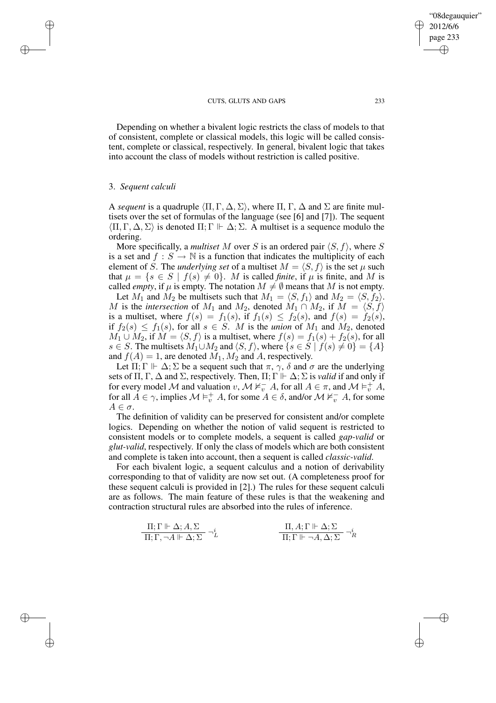Depending on whether a bivalent logic restricts the class of models to that of consistent, complete or classical models, this logic will be called consistent, complete or classical, respectively. In general, bivalent logic that takes into account the class of models without restriction is called positive.

## 3. *Sequent calculi*

✐

✐

✐

✐

A *sequent* is a quadruple  $\langle \Pi, \Gamma, \Delta, \Sigma \rangle$ , where  $\Pi, \Gamma, \Delta$  and  $\Sigma$  are finite multisets over the set of formulas of the language (see [6] and [7]). The sequent  $\langle \Pi, \Gamma, \Delta, \Sigma \rangle$  is denoted  $\Pi$ :  $\Gamma \Vdash \Delta$ :  $\Sigma$ . A multiset is a sequence modulo the ordering.

More specifically, a *multiset* M over S is an ordered pair  $\langle S, f \rangle$ , where S is a set and  $f : S \to \mathbb{N}$  is a function that indicates the multiplicity of each element of  $\check{S}$ . The *underlying set* of a multiset  $M = \langle S, f \rangle$  is the set  $\mu$  such that  $\mu = \{s \in S \mid f(s) \neq 0\}$ . M is called *finite*, if  $\mu$  is finite, and M is called *empty*, if  $\mu$  is empty. The notation  $M \neq \emptyset$  means that M is not empty.

Let  $M_1$  and  $M_2$  be multisets such that  $M_1 = \langle S, f_1 \rangle$  and  $M_2 = \langle S, f_2 \rangle$ . M is the *intersection* of  $M_1$  and  $M_2$ , denoted  $M_1 \cap M_2$ , if  $M = \langle S, f \rangle$ is a multiset, where  $f(s) = f_1(s)$ , if  $f_1(s) \leq f_2(s)$ , and  $f(s) = f_2(s)$ , if  $f_2(s) \le f_1(s)$ , for all  $s \in S$ . M is the *union* of  $M_1$  and  $M_2$ , denoted  $M_1 \cup M_2$ , if  $M = \langle S, f \rangle$  is a multiset, where  $f(s) = f_1(s) + f_2(s)$ , for all s ∈ S. The multisets  $M_1 \cup M_2$  and  $\langle S, f \rangle$ , where  $\{s \in S \mid f(s) \neq 0\} = \{A\}$ and  $f(A) = 1$ , are denoted  $M_1, M_2$  and A, respectively.

Let  $\Pi$ ;  $\Gamma \Vdash \Delta$ ;  $\Sigma$  be a sequent such that  $\pi$ ,  $\gamma$ ,  $\delta$  and  $\sigma$  are the underlying sets of  $\Pi$ ,  $\Gamma$ ,  $\Delta$  and  $\Sigma$ , respectively. Then,  $\Pi$ ;  $\Gamma \Vdash \Delta$ ;  $\Sigma$  is *valid* if and only if for every model M and valuation  $v, M \nvDash_{v}^{-} A$ , for all  $A \in \pi$ , and  $M \vDash_{v}^{+} A$ , for all  $A \in \gamma$ , implies  $\mathcal{M} \models^+_v A$ , for some  $A \in \delta$ , and/or  $\mathcal{M} \nvDash^+_v A$ , for some  $A \in \sigma$ .

The definition of validity can be preserved for consistent and/or complete logics. Depending on whether the notion of valid sequent is restricted to consistent models or to complete models, a sequent is called *gap-valid* or *glut-valid*, respectively. If only the class of models which are both consistent and complete is taken into account, then a sequent is called *classic-valid*.

For each bivalent logic, a sequent calculus and a notion of derivability corresponding to that of validity are now set out. (A completeness proof for these sequent calculi is provided in [2].) The rules for these sequent calculi are as follows. The main feature of these rules is that the weakening and contraction structural rules are absorbed into the rules of inference.

$$
\frac{\Pi; \Gamma \Vdash \Delta; A, \Sigma}{\Pi; \Gamma, \neg A \Vdash \Delta; \Sigma} \neg_L^i\n\qquad\n\frac{\Pi, A; \Gamma \Vdash \Delta; \Sigma}{\Pi; \Gamma \Vdash \neg A, \Delta; \Sigma} \neg_R^i
$$

✐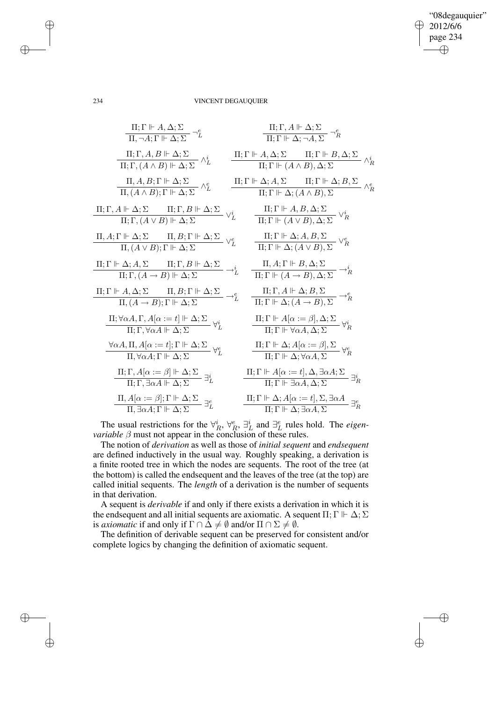$\bigoplus$ 

✐

### 234 VINCENT DEGAUQUIER

| $\Pi; \Gamma \vdash A, \Delta; \Sigma$                   | $\Pi; \Gamma, A \vdash \Delta; \Sigma$                          |                                        |                                           |                 |
|----------------------------------------------------------|-----------------------------------------------------------------|----------------------------------------|-------------------------------------------|-----------------|
| $\Pi; \Gamma, A, B \vdash \Delta; \Sigma$                | $\Pi; \Gamma \vdash A, \Delta; \Sigma$                          |                                        |                                           |                 |
| $\Pi; \Gamma, A, B \vdash \Delta; \Sigma$                | $\Pi; \Gamma \vdash A, \Delta; \Sigma$                          | $\Pi; \Gamma \vdash B, \Delta; \Sigma$ |                                           |                 |
| $\Pi, \Gamma, (A \land B) \vdash \Delta; \Sigma$         | $\wedge^{\ell}$                                                 | $\Pi; \Gamma \vdash A, \Delta; \Sigma$ | $\Pi; \Gamma \vdash B, \Delta; \Sigma$    | $\wedge^{\ell}$ |
| $\Pi, \Gamma, (A \land B); \Gamma \vdash \Delta; \Sigma$ | $\wedge^{\ell}$                                                 | $\Pi; \Gamma \vdash \Delta; A, \Sigma$ | $\Pi; \Gamma \vdash \Delta; B, \Sigma$    | $\wedge^{\ell}$ |
| $\Pi; \Gamma, A \vdash \Delta; \Sigma$                   | $\Pi; \Gamma, B \vdash \Delta; \Sigma$                          | $\Upsilon$                             | $\Pi; \Gamma \vdash A, B, \Delta; \Sigma$ | $\Upsilon$      |
| $\Pi, \Gamma, A \vdash \Delta; \Sigma$                   | $\Pi; \Gamma, B \vdash \Delta; \Sigma$                          | $\Upsilon$                             | $\Pi; \Gamma \vdash A, B, \Delta; \Sigma$ | $\Upsilon$      |
| $\Pi, \Gamma, A \vdash \Delta; \Sigma$                   | $\Pi, \Gamma, \Gamma \vdash \Delta; (A \lor B), \Delta; \Sigma$ | $\Upsilon$                             |                                           |                 |
| $\Pi, \Gamma, A \vdash \Delta; \Sigma$                   | $\Upsilon, \Gamma, \Gamma \vdash \Delta; \Delta$                |                                        |                                           |                 |

The usual restrictions for the  $\forall^i_R$ ,  $\forall^e_R$ ,  $\exists^i_L$  and  $\exists^e_L$  rules hold. The *eigenvariable*  $\beta$  must not appear in the conclusion of these rules.

The notion of *derivation* as well as those of *initial sequent* and *endsequent* are defined inductively in the usual way. Roughly speaking, a derivation is a finite rooted tree in which the nodes are sequents. The root of the tree (at the bottom) is called the endsequent and the leaves of the tree (at the top) are called initial sequents. The *length* of a derivation is the number of sequents in that derivation.

A sequent is *derivable* if and only if there exists a derivation in which it is the endsequent and all initial sequents are axiomatic. A sequent  $\Pi$ ;  $\Gamma \Vdash \Delta$ ;  $\Sigma$ is *axiomatic* if and only if  $\Gamma \cap \Delta \neq \emptyset$  and/or  $\Pi \cap \Sigma \neq \emptyset$ .

The definition of derivable sequent can be preserved for consistent and/or complete logics by changing the definition of axiomatic sequent.

✐

✐

✐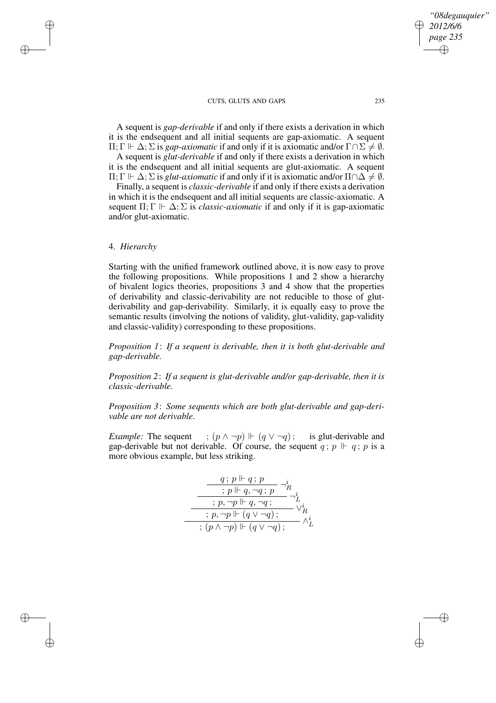A sequent is *gap-derivable* if and only if there exists a derivation in which it is the endsequent and all initial sequents are gap-axiomatic. A sequent  $\Pi$ ; Γ  $\vdash$  Δ; Σ is *gap-axiomatic* if and only if it is axiomatic and/or Γ∩Σ  $\neq$  *Ø*.

A sequent is *glut-derivable* if and only if there exists a derivation in which it is the endsequent and all initial sequents are glut-axiomatic. A sequent

 $\Pi$ ; Γ  $\Vdash$   $\Delta$ ; Σ is *glut-axiomatic* if and only if it is axiomatic and/or  $\Pi \cap \Delta \neq \emptyset$ .

Finally, a sequent is *classic-derivable* if and only if there exists a derivation in which it is the endsequent and all initial sequents are classic-axiomatic. A sequent  $\Pi$ ;  $\Gamma \Vdash \Delta$ ;  $\Sigma$  is *classic-axiomatic* if and only if it is gap-axiomatic and/or glut-axiomatic.

# 4. *Hierarchy*

✐

✐

✐

✐

Starting with the unified framework outlined above, it is now easy to prove the following propositions. While propositions 1 and 2 show a hierarchy of bivalent logics theories, propositions 3 and 4 show that the properties of derivability and classic-derivability are not reducible to those of glutderivability and gap-derivability. Similarly, it is equally easy to prove the semantic results (involving the notions of validity, glut-validity, gap-validity and classic-validity) corresponding to these propositions.

*Proposition 1*: *If a sequent is derivable, then it is both glut-derivable and gap-derivable.*

*Proposition 2*: *If a sequent is glut-derivable and/or gap-derivable, then it is classic-derivable.*

*Proposition 3*: *Some sequents which are both glut-derivable and gap-derivable are not derivable.*

*Example:* The sequent ;  $(p \land \neg p) \Vdash (q \lor \neg q)$ ; is glut-derivable and gap-derivable but not derivable. Of course, the sequent  $q$ ;  $p \Vdash q$ ;  $p$  is a more obvious example, but less striking.

$$
\frac{q;p \Vdash q;p}{p \Vdash q,\neg q;p} \neg^i_R
$$
\n
$$
\xrightarrow{\cdot p \Vdash q,\neg q;\neg^i} \neg^i_L
$$
\n
$$
\xrightarrow{\cdot p,\neg p \Vdash (q \vee \neg q);\neg^i_L}
$$
\n
$$
\xrightarrow{\cdot} (p \wedge \neg p) \Vdash (q \vee \neg q);\neg^i_L
$$

*"08degauquier"*

*2012/6/6 page 235*

✐

✐

✐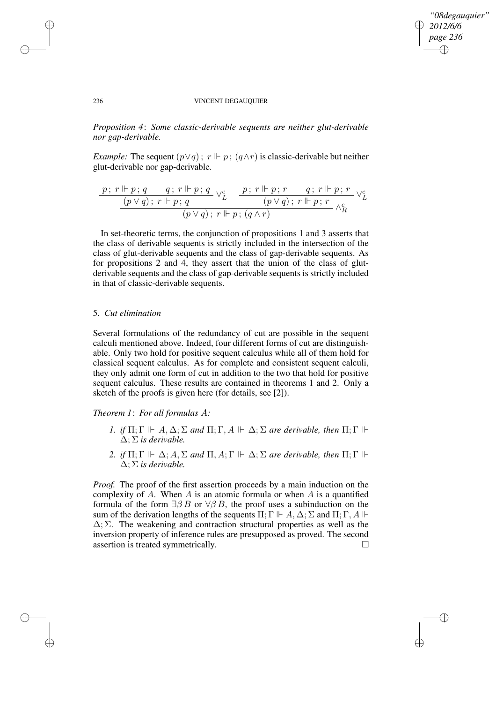✐

✐

### 236 VINCENT DEGAUQUIER

*Proposition 4*: *Some classic-derivable sequents are neither glut-derivable nor gap-derivable.*

*Example:* The sequent  $(p \lor q)$ ;  $r \Vdash p$ ;  $(q \land r)$  is classic-derivable but neither glut-derivable nor gap-derivable.

$$
\frac{p\,;\,r \Vdash p\,;\,q \qquad q\,;\,r \Vdash p\,;\,q}{(p \vee q)\,;\,r \Vdash p\,;\,q} \vee^e_L \quad \frac{p\,;\,r \Vdash p\,;\,r \qquad q\,;\,r \Vdash p\,;\,r}{(p \vee q)\,;\,r \Vdash p\,;\,(\,q \wedge r)\,}\vee^e_L
$$

In set-theoretic terms, the conjunction of propositions 1 and 3 asserts that the class of derivable sequents is strictly included in the intersection of the class of glut-derivable sequents and the class of gap-derivable sequents. As for propositions 2 and 4, they assert that the union of the class of glutderivable sequents and the class of gap-derivable sequents is strictly included in that of classic-derivable sequents.

# 5. *Cut elimination*

Several formulations of the redundancy of cut are possible in the sequent calculi mentioned above. Indeed, four different forms of cut are distinguishable. Only two hold for positive sequent calculus while all of them hold for classical sequent calculus. As for complete and consistent sequent calculi, they only admit one form of cut in addition to the two that hold for positive sequent calculus. These results are contained in theorems 1 and 2. Only a sketch of the proofs is given here (for details, see [2]).

*Theorem 1*: *For all formulas* A*:*

- *1. if*  $\Pi$ ;  $\Gamma \Vdash A$ ,  $\Delta$ ;  $\Sigma$  *and*  $\Pi$ ;  $\Gamma$ ,  $A \Vdash \Delta$ ;  $\Sigma$  *are derivable, then*  $\Pi$ ;  $\Gamma \Vdash$ ∆; Σ *is derivable.*
- 2. *if*  $\Pi$ ; Γ  $\vdash$  Δ; *A*, Σ *and*  $\Pi$ , *A*; Γ  $\vdash$  Δ; Σ *are derivable, then*  $\Pi$ ; Γ  $\vdash$ ∆; Σ *is derivable.*

*Proof.* The proof of the first assertion proceeds by a main induction on the complexity of A. When A is an atomic formula or when A is a quantified formula of the form  $\exists \beta B$  or  $\forall \beta B$ , the proof uses a subinduction on the sum of the derivation lengths of the sequents  $\Pi$ ;  $\Gamma \Vdash A$ ,  $\Delta$ ;  $\Sigma$  and  $\Pi$ ;  $\Gamma$ ,  $A \Vdash$  $\Delta$ ;  $\Sigma$ . The weakening and contraction structural properties as well as the inversion property of inference rules are presupposed as proved. The second assertion is treated symmetrically.

✐

✐

✐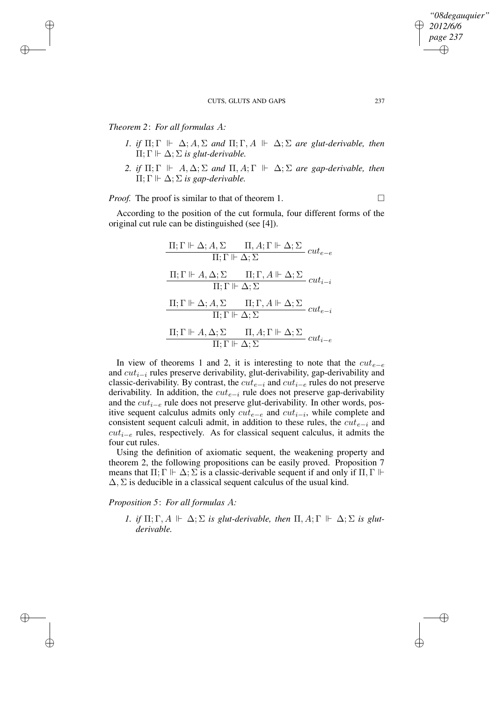# *Theorem 2*: *For all formulas* A*:*

✐

✐

✐

✐

- *1. if*  $\Pi$ ;  $\Gamma \Vdash \Delta$ ;  $A$ ,  $\Sigma$  *and*  $\Pi$ ;  $\Gamma$ ,  $A \Vdash \Delta$ ;  $\Sigma$  *are glut-derivable, then*  $\Pi$ ;  $\Gamma \Vdash \Delta$ ;  $\Sigma$  *is glut-derivable.*
- 2. *if*  $\Pi$ ;  $\Gamma \Vdash A$ ,  $\Delta$ ;  $\Sigma$  *and*  $\Pi$ ,  $A$ ;  $\Gamma \Vdash \Delta$ ;  $\Sigma$  *are gap-derivable, then*  $\Pi$ ;  $\Gamma \Vdash \Delta$ ;  $\Sigma$  *is gap-derivable.*

*Proof.* The proof is similar to that of theorem 1.

According to the position of the cut formula, four different forms of the original cut rule can be distinguished (see [4]).

$$
\begin{aligned} &\frac{\Pi;\Gamma\Vdash\Delta;A,\Sigma\qquad\Pi,A;\Gamma\Vdash\Delta;\Sigma}{\Pi;\Gamma\Vdash\Delta;\Sigma}\,cut_{e-e}\\ &\frac{\Pi;\Gamma\Vdash A,\Delta;\Sigma\qquad\Pi;\Gamma,\,A\Vdash\Delta;\Sigma}{\Pi;\Gamma\Vdash\Delta;\Sigma}\,cut_{i-i}\\ &\frac{\Pi;\Gamma\Vdash\Delta;A,\Sigma\qquad\Pi;\Gamma,\,A\Vdash\Delta;\Sigma}{\Pi;\Gamma\Vdash\Delta;\Sigma}\,cut_{e-i}\\ &\frac{\Pi;\Gamma\Vdash A,\Delta;\Sigma\qquad\Pi,A;\Gamma\Vdash\Delta;\Sigma}{\Pi;\Gamma\Vdash\Delta;\Sigma}\,cut_{i-e}\\ \end{aligned}
$$

In view of theorems 1 and 2, it is interesting to note that the  $cut_{e-e}$ and cuti−<sup>i</sup> rules preserve derivability, glut-derivability, gap-derivability and classic-derivability. By contrast, the  $cut_{e-i}$  and  $cut_{i-e}$  rules do not preserve derivability. In addition, the  $cut_{e-i}$  rule does not preserve gap-derivability and the cuti−<sup>e</sup> rule does not preserve glut-derivability. In other words, positive sequent calculus admits only  $cut_{e-e}$  and  $cut_{i-i}$ , while complete and consistent sequent calculi admit, in addition to these rules, the  $cut_{e-i}$  and  $cut_{i-e}$  rules, respectively. As for classical sequent calculus, it admits the four cut rules.

Using the definition of axiomatic sequent, the weakening property and theorem 2, the following propositions can be easily proved. Proposition 7 means that  $\Pi$ ;  $\Gamma \Vdash \Delta$ ;  $\Sigma$  is a classic-derivable sequent if and only if  $\Pi$ ,  $\Gamma \Vdash$  $\Delta$ ,  $\Sigma$  is deducible in a classical sequent calculus of the usual kind.

*Proposition 5*: *For all formulas* A*:*

*1. if*  $\Pi$ ;  $\Gamma$ ,  $A \Vdash \Delta$ ;  $\Sigma$  *is glut-derivable, then*  $\Pi$ ,  $A$ ;  $\Gamma \Vdash \Delta$ ;  $\Sigma$  *is glutderivable.*

*"08degauquier"*

*2012/6/6 page 237*

✐

✐

✐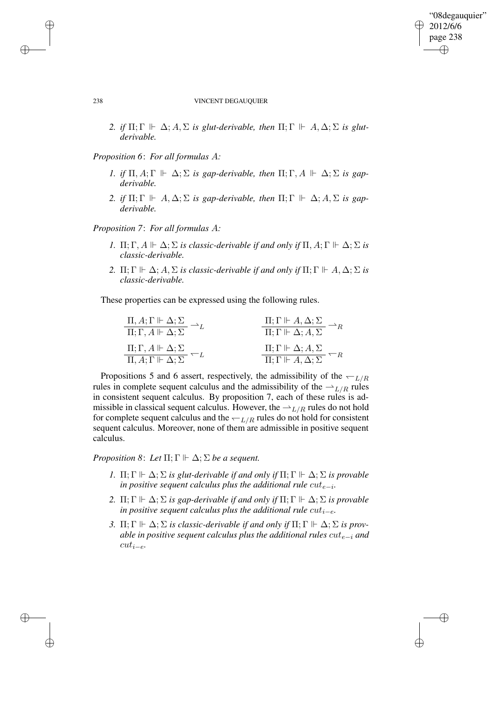✐

✐

### 238 VINCENT DEGAUQUIER

2. *if*  $\Pi$ ;  $\Gamma \Vdash \Delta$ ;  $A$ ,  $\Sigma$  *is glut-derivable, then*  $\Pi$ ;  $\Gamma \Vdash A$ ,  $\Delta$ ;  $\Sigma$  *is glutderivable.*

*Proposition 6*: *For all formulas* A*:*

- *1. if*  $\Pi$ ,  $A$ ;  $\Gamma \Vdash \Delta$ ;  $\Sigma$  *is gap-derivable, then*  $\Pi$ ;  $\Gamma$ ,  $A \Vdash \Delta$ ;  $\Sigma$  *is gapderivable.*
- 2. *if*  $\Pi$ ;  $\Gamma \Vdash A$ ,  $\Delta$ ;  $\Sigma$  *is gap-derivable, then*  $\Pi$ ;  $\Gamma \Vdash \Delta$ ;  $A$ ,  $\Sigma$  *is gapderivable.*

*Proposition 7*: *For all formulas* A*:*

- *1.*  $\Pi$ ;  $\Gamma$ ,  $A \Vdash \Delta$ ;  $\Sigma$  *is classic-derivable if and only if*  $\Pi$ ,  $A$ ;  $\Gamma \Vdash \Delta$ ;  $\Sigma$  *is classic-derivable.*
- 2.  $\Pi$ ;  $\Gamma \Vdash \Delta$ ;  $A$ ,  $\Sigma$  *is classic-derivable if and only if*  $\Pi$ ;  $\Gamma \Vdash A$ ,  $\Delta$ ;  $\Sigma$  *is classic-derivable.*

These properties can be expressed using the following rules.

| $\Pi, A; \Gamma \Vdash \Delta; \Sigma$                                                           | $\Pi; \Gamma \Vdash A, \Delta; \Sigma$                     |
|--------------------------------------------------------------------------------------------------|------------------------------------------------------------|
| $\overline{\Pi;\Gamma,A\mathrel{\Vdash}\Delta;\Sigma}$                                           | $\overline{\Pi}; \Gamma \Vdash \Delta; A, \Sigma$          |
| $\Pi; \Gamma, A \Vdash \Delta; \Sigma$                                                           | $\Pi; \Gamma \Vdash \Delta; A, \Sigma$                     |
| $\frac{\overbrace{\Pi,A;\Gamma \Vdash \Delta;\Sigma}^{-L}}{\prod,A;\Gamma \Vdash \Delta;\Sigma}$ | $\overline{\Pi;\Gamma \Vdash A,\Delta;\Sigma} \subseteq R$ |

Propositions 5 and 6 assert, respectively, the admissibility of the  $\leftarrow_{L/R}$ rules in complete sequent calculus and the admissibility of the  $\rightharpoonup_{L/R}$  rules in consistent sequent calculus. By proposition 7, each of these rules is admissible in classical sequent calculus. However, the  $\rightharpoonup_{L/R}$  rules do not hold for complete sequent calculus and the  $\leftarrow$   $L/R$  rules do not hold for consistent sequent calculus. Moreover, none of them are admissible in positive sequent calculus.

*Proposition* 8: Let  $\Pi$ ;  $\Gamma \Vdash \Delta$ ;  $\Sigma$  *be a sequent.* 

- *1.*  $\Pi$ ;  $\Gamma \Vdash \Delta$ ;  $\Sigma$  *is glut-derivable if and only if*  $\Pi$ ;  $\Gamma \Vdash \Delta$ ;  $\Sigma$  *is provable in positive sequent calculus plus the additional rule*  $cut_{e-i}$ *.*
- 2.  $\Pi$ ;  $\Gamma \Vdash \Delta$ ;  $\Sigma$  *is gap-derivable if and only if*  $\Pi$ ;  $\Gamma \Vdash \Delta$ ;  $\Sigma$  *is provable in* positive sequent calculus plus the additional rule  $cut_{i-e}$ .
- *3.* Π; Γ  $\Vdash$   $\Delta$ ;  $\Sigma$  *is classic-derivable if and only if* Π; Γ  $\Vdash$   $\Delta$ ;  $\Sigma$  *is provable* in positive sequent calculus plus the additional rules  $cut_{e-i}$  and cuti−e*.*

✐

✐

✐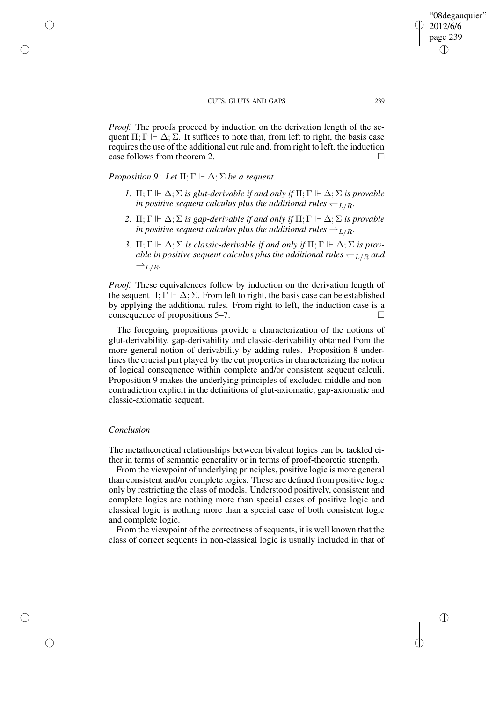*Proof.* The proofs proceed by induction on the derivation length of the sequent  $\Pi$ ;  $\Gamma \Vdash \Delta$ ;  $\Sigma$ . It suffices to note that, from left to right, the basis case requires the use of the additional cut rule and, from right to left, the induction case follows from theorem 2.

*Proposition* 9: Let  $\Pi$ ;  $\Gamma \Vdash \Delta$ ;  $\Sigma$  *be a sequent.* 

- *1.*  $\Pi$ ;  $\Gamma \Vdash \Delta$ ;  $\Sigma$  *is glut-derivable if and only if*  $\Pi$ ;  $\Gamma \Vdash \Delta$ ;  $\Sigma$  *is provable in positive sequent calculus plus the additional rules*  $\leftarrow$   $L/R$ *.*
- 2.  $\Pi$ ;  $\Gamma \Vdash \Delta$ ;  $\Sigma$  *is gap-derivable if and only if*  $\Pi$ ;  $\Gamma \Vdash \Delta$ ;  $\Sigma$  *is provable in positive sequent calculus plus the additional rules*  $\rightharpoonup_{L/R}$ *.*
- *3.* Π; Γ  $\Vdash$   $\Delta$ ;  $\Sigma$  *is classic-derivable if and only if* Π; Γ  $\Vdash$   $\Delta$ ;  $\Sigma$  *is provable in positive sequent calculus plus the additional rules*  $\leftarrow$   $L/R$  *and*  $\rightharpoonup_{L/R}$ .

*Proof.* These equivalences follow by induction on the derivation length of the sequent  $\Pi$ ;  $\Gamma \Vdash \Delta$ ;  $\Sigma$ . From left to right, the basis case can be established by applying the additional rules. From right to left, the induction case is a consequence of propositions  $5-7$ .

The foregoing propositions provide a characterization of the notions of glut-derivability, gap-derivability and classic-derivability obtained from the more general notion of derivability by adding rules. Proposition 8 underlines the crucial part played by the cut properties in characterizing the notion of logical consequence within complete and/or consistent sequent calculi. Proposition 9 makes the underlying principles of excluded middle and noncontradiction explicit in the definitions of glut-axiomatic, gap-axiomatic and classic-axiomatic sequent.

### *Conclusion*

✐

✐

✐

✐

The metatheoretical relationships between bivalent logics can be tackled either in terms of semantic generality or in terms of proof-theoretic strength.

From the viewpoint of underlying principles, positive logic is more general than consistent and/or complete logics. These are defined from positive logic only by restricting the class of models. Understood positively, consistent and complete logics are nothing more than special cases of positive logic and classical logic is nothing more than a special case of both consistent logic and complete logic.

From the viewpoint of the correctness of sequents, it is well known that the class of correct sequents in non-classical logic is usually included in that of

"08degauquier" 2012/6/6 page 239

✐

✐

✐